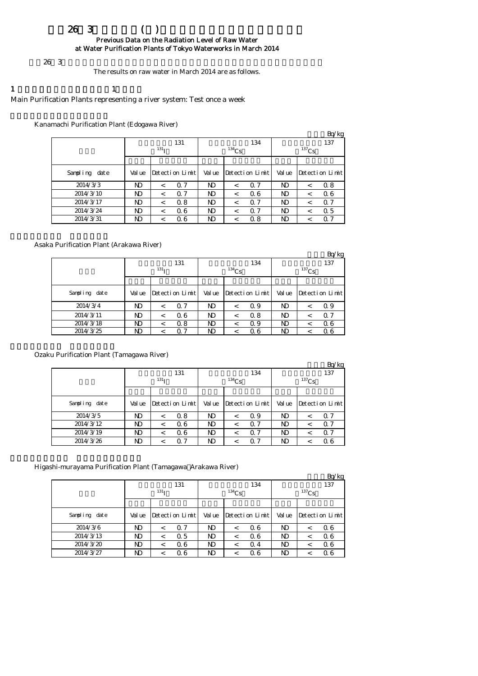### $263$  () Previous Data on the Radiation Level of Raw Water at Water Purification Plants of Tokyo Waterworks in March 2014

#### $26\,3$

The results on raw water in March 2014 are as follows.

## 1  $\qquad \qquad$  1

#### Main Purification Plants representing a river system: Test once a week

Kanamachi Purification Plant (Edogawa River)

|               |        |                  |                 |        |            |                 |          |         | Bq/kg           |  |
|---------------|--------|------------------|-----------------|--------|------------|-----------------|----------|---------|-----------------|--|
|               |        |                  | 131             |        |            | 134             | 137      |         |                 |  |
|               |        | 131 <sub>T</sub> |                 |        | $^{134}Cs$ |                 | $137$ Cs |         |                 |  |
|               |        |                  |                 |        |            |                 |          |         |                 |  |
| Sampling date | Val ue |                  | Detection Limit | Val ue |            | Detection Limit | Val ue   |         | Detection Limit |  |
| 2014/3/3      | ND     | $\,<\,$          | 0.7             | ND     | $\,<\,$    | $\Omega$ 7      | N)       | $\,<\,$ | 0.8             |  |
| 2014/3/10     | ND     | $\,<\,$          | Q <sub>7</sub>  | ND     | $\,<\,$    | Q 6             | ND       | $\,<\,$ | 06              |  |
| 2014/3/17     | ND     | $\,<\,$          | 0.8             | ND     |            | 0.7             | ND       | $\,<\,$ | 0.7             |  |
| 2014/3/24     | ND     | $\,<\,$          | 06              | ND     | $\,<\,$    | Q 7             | ND       | $\,<\,$ | 0.5             |  |
| 2014/3/31     | ND     | $\,<\,$          | 06              | ND     | <          | 0.8             | ND       | $\,<\,$ | 0.7             |  |

#### Asaka Purification Plant (Arakawa River)

|               |        |                  |                 |        |            |                 |            |         | Bq/kg           |  |
|---------------|--------|------------------|-----------------|--------|------------|-----------------|------------|---------|-----------------|--|
|               |        |                  | 131             |        |            | 134             | 137        |         |                 |  |
|               |        | 131 <sub>T</sub> |                 |        | $^{134}Cs$ |                 | $^{137}Cs$ |         |                 |  |
|               |        |                  |                 |        |            |                 |            |         |                 |  |
| Sampling date | Val ue |                  | Detection Limit | Val ue |            | Detection Limit | Val ue     |         | Detection Limit |  |
| 2014/3/4      | ND     | $\,<\,$          | 0.7             | N)     |            | Q 9             | ND         | $\,<\,$ | 0.9             |  |
| 2014/3/11     | ND     | $\,<\,$          | 06              | ND     |            | 0.8             | ND         | $\,<\,$ | 0.7             |  |
| 2014/3/18     | ND     | $\,<\,$          | 0.8             | ND     |            | Q 9             | ND         |         | 06              |  |
| 2014/3/25     | ND     |                  | 07              | ND     |            | Q 6             | ND         |         | Q 6             |  |

#### Ozaku Purification Plant (Tamagawa River)

|               |        |                  |                 |        |            |                 |          |         | Bq/kg           |  |
|---------------|--------|------------------|-----------------|--------|------------|-----------------|----------|---------|-----------------|--|
|               |        |                  | 131             |        |            | 134             | 137      |         |                 |  |
|               |        | 131 <sub>T</sub> |                 |        | $^{134}Cs$ |                 | $137$ Cs |         |                 |  |
|               |        |                  |                 |        |            |                 |          |         |                 |  |
| Sampling date | Val ue |                  | Detection Limit | Val ue |            | Detection Limit | Val ue   |         | Detection Limit |  |
| 2014/3/5      | ND     | $\,<\,$          | 0.8             | ND     | <          | Q 9             | ND       | $\,<\,$ | Q 7             |  |
| 2014/3/12     | ND     | $\,<\,$          | 06              | ND     |            | 0.7             | ND       | ≺       | 0.7             |  |
| 2014/3/19     | ND     | $\,<\,$          | 06              | ND.    |            | 0. 7            | ND       | <       | 0.7             |  |
| 2014/3/26     | ND     | $\,<\,$          | Q <sub>7</sub>  | ND.    |            | Q 7             | ND       | ≺       | Q 6             |  |

#### Higashi-murayama Purification Plant (Tamagawa Arakawa River)

|               |        |                  |                 |        |          |                 |        |          | Bq/kg           |
|---------------|--------|------------------|-----------------|--------|----------|-----------------|--------|----------|-----------------|
|               |        | 131 <sub>T</sub> | 131             |        | $134$ Cs | 134             |        | $137$ Cs | 137             |
|               |        |                  |                 |        |          |                 |        |          |                 |
| Sampling date | Val ue |                  | Detection Limit | Val ue |          | Detection Limit | Val ue |          | Detection Limit |
| 2014/3/6      | ND     | $\,<\,$          | 0.7             | ND     | $\,<\,$  | Q 6             | ND     | $\,<\,$  | 06              |
| 2014/3/13     | ND     | $\,<\,$          | Q 5             | ND     | $\,<\,$  | Q 6             | N)     | $\,<\,$  | 06              |
| 2014/3/20     | ND     | $\,<\,$          | 06              | ND     | <        | $\Omega$ 4      | ND     | $\,<\,$  | Q 6             |
| 2014/3/27     | ND     | $\,<\,$          | 06              | ND     | <        | Q 6             | ND     |          | Q 6             |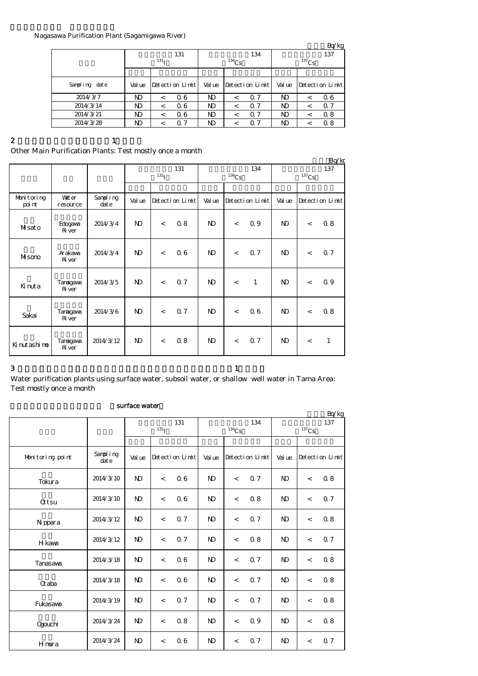#### Nagasawa Purification Plant (Sagamigawa River)

|               |        |                  |                 |        |            |                 |          |         | Bq/kg           |  |
|---------------|--------|------------------|-----------------|--------|------------|-----------------|----------|---------|-----------------|--|
|               |        |                  | 131             |        |            | 134             | 137      |         |                 |  |
|               |        | 131 <sub>T</sub> |                 |        | $^{134}Cs$ |                 | $137$ Cs |         |                 |  |
|               |        |                  |                 |        |            |                 |          |         |                 |  |
| Sampling date | Val ue |                  | Detection Limit | Val ue |            | Detection Limit | Val ue   |         | Detection Limit |  |
| 2014/3/7      | ND     | $\,<\,$          | Q 6             | ND     | $\,<\,$    | 0.7             | ND       | $\,<\,$ | Q 6             |  |
| 2014/3/14     | ND     | $\,<\,$          | 06              | ND     | $\,<\,$    | Q 7             | ND       | $\,<\,$ | 0.7             |  |
| 2014/3/21     | N)     | $\,<\,$          | 06              | ND     | $\,<\,$    | $\Omega$ 7      | ND       | $\,<\,$ | 0.8             |  |
| 2014/3/28     | ND     | <                | 0.7             | ND     |            | 0. 7            | ND       | $\,<\,$ | 0.8             |  |
|               |        |                  |                 |        |            |                 |          |         |                 |  |

#### 2 and  $\lambda$  1

# Other Main Purification Plants: Test mostly once a month

|                      |                           |                      |                   |         |                 |              |                     |                 |                            |                | Bq/kg           |
|----------------------|---------------------------|----------------------|-------------------|---------|-----------------|--------------|---------------------|-----------------|----------------------------|----------------|-----------------|
|                      |                           |                      | 131<br>$^{131}$ I |         |                 |              | $^{134}\mathrm{Cs}$ | 134             | 137<br>$^{137}\mathrm{Cs}$ |                |                 |
|                      |                           |                      |                   |         |                 |              |                     |                 |                            |                |                 |
| Monitoring<br>poi nt | <b>Vater</b><br>resource  | Sampling<br>$\det e$ | Val ue            |         | Detection Limit | Val ue       |                     | Detection Limit | Val ue                     |                | Detection Limit |
| Misato               | Edogava<br><b>R</b> iver  | 2014/3/4             | $\mathbf{D}$      | $\lt$   | 08              | $\mathbf{D}$ | $\lt$               | 0.9             | $\mathbf{N}$               | $\overline{a}$ | 0.8             |
| Misono               | Arakawa<br><b>R</b> iver  | 2014/3/4             | $\mathbf{D}$      | $\,<\,$ | 06              | $\mathbf{D}$ | $\lt$               | 0.7             | $\mathbf{D}$               | $\,<$          | 0.7             |
| Kinuta               | Tanagawa<br><b>R</b> iver | 2014/3/5             | $\mathbf{D}$      | $\lt$   | 0.7             | $\mathbf{D}$ | $\overline{a}$      | $\mathbf{1}$    | $\mathbf{D}$               | $\overline{a}$ | Q 9             |
| Sakai                | Tanagawa<br><b>R</b> iver | 2014/3/6             | $\mathbf{D}$      | $\lt$   | Q 7             | $\mathbf{D}$ | $\lt$               | 06              | $\mathbf{N}$               | $\,<\,$        | 0.8             |
| Kinutashino          | Tanagawa<br><b>R</b> iver | 2014/3/12            | $\mathbf{D}$      | $\lt$   | 08              | $\mathbf{D}$ | $\lt$               | Q <sub>7</sub>  | $\mathbf{D}$               | $\lt$          | $\mathbf{1}$    |

 $3$  and  $1$ 

Water purification plants using surface water, subsoil water, or shallow well water in Tama Area: Test mostly once a month

#### surface water

|                  |                   |                |                          |                 |                |                     |                 |                |          | Bq/kg           |
|------------------|-------------------|----------------|--------------------------|-----------------|----------------|---------------------|-----------------|----------------|----------|-----------------|
|                  |                   |                | $131$ <sup>T</sup>       | 131             |                | $^{134}\mathrm{Cs}$ | 134             |                |          | 137             |
|                  |                   |                |                          |                 |                |                     |                 |                | $137$ Cs |                 |
| Monitoring point | Sampling<br>dat e | Val ue         |                          | Detection Limit | Val ue         |                     | Detection Limit | Val ue         |          | Detection Limit |
| Tokura           | 2014/3/10         | N <sub>D</sub> | $\,<$                    | 06              | $\mathbf{N}$   | $\,<$               | Q 7             | $\mathbf{D}$   | $\,<$    | 0.8             |
| <b>Qtsu</b>      | 2014/3/10         | $\mathbf{N}$   | $\,<$                    | 06              | $\mathbf{N}$   | $\,<$               | 0.8             | $\mathbf{D}$   | $\lt$    | 0.7             |
| N ppara          | 2014/3/12         | $\mathbf{N}$   | $\lt$                    | 0.7             | $\mathbf{N}$   | $\lt$               | 0.7             | N <sub>D</sub> | $\lt$    | 08              |
| H kawa           | 2014/3/12         | N <sub>D</sub> | $\lt$                    | 0.7             | $\mathbf{N}$   | $\lt$               | 0.8             | N <sub>D</sub> | $\lt$    | 0.7             |
| Tanasawa         | 2014/3/18         | $\mathbf{N}$   | $\overline{\phantom{a}}$ | 06              | $\mathbf{N}$   | $\lt$               | 0.7             | $\mathbf{N}$   | $\lt$    | 08              |
| Craba            | 2014/3/18         | $\mathbf{N}$   | $\overline{\phantom{a}}$ | 06              | $\mathbf{N}$   | $\lt$               | Q <sub>7</sub>  | $\mathbf{N}$   | $\lt$    | 0.8             |
| Fukasawa         | 2014/3/19         | $\mathbf{N}$   | $\lt$                    | 0.7             | $\mathbf{N}$   | $\lt$               | 0.7             | $\mathbf{N}$   | $\lt$    | 0.8             |
| <b>Ogouchi</b>   | 2014/3/24         | N <sub>D</sub> | $\overline{\phantom{a}}$ | 0.8             | N <sub>D</sub> | $\,<$               | 0.9             | N <sub>D</sub> | $\lt$    | 0.8             |
| Hmura            | 2014/3/24         | $\mathbf{N}$   | $\,<$                    | 06              | $\mathbf{N}$   | $\,<$               | 0.7             | $\mathbf{N}$   | $\,<$    | Q 7             |